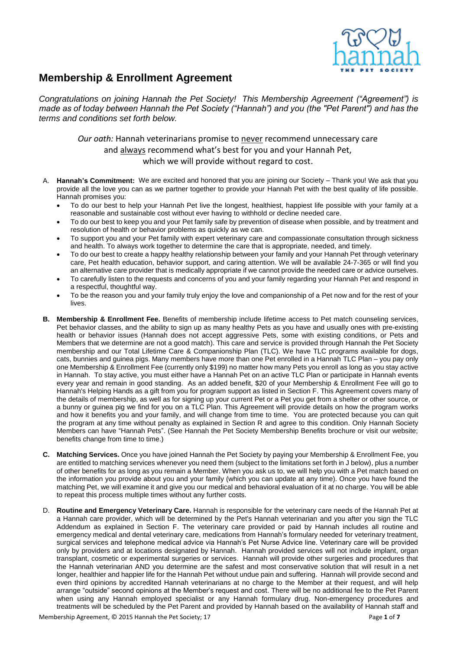

## **Membership & Enrollment Agreement**

*Congratulations on joining Hannah the Pet Society! This Membership Agreement ("Agreement") is made as of today between Hannah the Pet Society ("Hannah") and you (the "Pet Parent") and has the terms and conditions set forth below.*

> *Our oath:* Hannah veterinarians promise to never recommend unnecessary care and always recommend what's best for you and your Hannah Pet, which we will provide without regard to cost.

- A. **Hannah's Commitment:** We are excited and honored that you are joining our Society Thank you! We ask that you provide all the love you can as we partner together to provide your Hannah Pet with the best quality of life possible. Hannah promises you:
	- To do our best to help your Hannah Pet live the longest, healthiest, happiest life possible with your family at a reasonable and sustainable cost without ever having to withhold or decline needed care.
	- To do our best to keep you and your Pet family safe by prevention of disease when possible, and by treatment and resolution of health or behavior problems as quickly as we can.
	- To support you and your Pet family with expert veterinary care and compassionate consultation through sickness and health. To always work together to determine the care that is appropriate, needed, and timely.
	- To do our best to create a happy healthy relationship between your family and your Hannah Pet through veterinary care, Pet health education, behavior support, and caring attention. We will be available 24-7-365 or will find you an alternative care provider that is medically appropriate if we cannot provide the needed care or advice ourselves.
	- To carefully listen to the requests and concerns of you and your family regarding your Hannah Pet and respond in a respectful, thoughtful way.
	- To be the reason you and your family truly enjoy the love and companionship of a Pet now and for the rest of your lives.
- **B. Membership & Enrollment Fee.** Benefits of membership include lifetime access to Pet match counseling services, Pet behavior classes, and the ability to sign up as many healthy Pets as you have and usually ones with pre-existing health or behavior issues (Hannah does not accept aggressive Pets, some with existing conditions, or Pets and Members that we determine are not a good match). This care and service is provided through Hannah the Pet Society membership and our Total Lifetime Care & Companionship Plan (TLC). We have TLC programs available for dogs, cats, bunnies and guinea pigs. Many members have more than one Pet enrolled in a Hannah TLC Plan – you pay only one Membership & Enrollment Fee (currently only \$199) no matter how many Pets you enroll as long as you stay active in Hannah. To stay active, you must either have a Hannah Pet on an active TLC Plan or participate in Hannah events every year and remain in good standing. As an added benefit, \$20 of your Membership & Enrollment Fee will go to Hannah's Helping Hands as a gift from you for program support as listed in Section F. This Agreement covers many of the details of membership, as well as for signing up your current Pet or a Pet you get from a shelter or other source, or a bunny or guinea pig we find for you on a TLC Plan. This Agreement will provide details on how the program works and how it benefits you and your family, and will change from time to time. You are protected because you can quit the program at any time without penalty as explained in Section R and agree to this condition. Only Hannah Society Members can have "Hannah Pets". (See Hannah the Pet Society Membership Benefits brochure or visit our website; benefits change from time to time.)
- **C. Matching Services.** Once you have joined Hannah the Pet Society by paying your Membership & Enrollment Fee, you are entitled to matching services whenever you need them (subject to the limitations set forth in J below), plus a number of other benefits for as long as you remain a Member. When you ask us to, we will help you with a Pet match based on the information you provide about you and your family (which you can update at any time). Once you have found the matching Pet, we will examine it and give you our medical and behavioral evaluation of it at no charge. You will be able to repeat this process multiple times without any further costs.
- D. **Routine and Emergency Veterinary Care.** Hannah is responsible for the veterinary care needs of the Hannah Pet at a Hannah care provider, which will be determined by the Pet's Hannah veterinarian and you after you sign the TLC Addendum as explained in Section F. The veterinary care provided or paid by Hannah includes all routine and emergency medical and dental veterinary care, medications from Hannah's formulary needed for veterinary treatment, surgical services and telephone medical advice via Hannah's Pet Nurse Advice line. Veterinary care will be provided only by providers and at locations designated by Hannah. Hannah provided services will not include implant, organ transplant, cosmetic or experimental surgeries or services. Hannah will provide other surgeries and procedures that the Hannah veterinarian AND you determine are the safest and most conservative solution that will result in a net longer, healthier and happier life for the Hannah Pet without undue pain and suffering. Hannah will provide second and even third opinions by accredited Hannah veterinarians at no charge to the Member at their request, and will help arrange "outside" second opinions at the Member's request and cost. There will be no additional fee to the Pet Parent when using any Hannah employed specialist or any Hannah formulary drug. Non-emergency procedures and treatments will be scheduled by the Pet Parent and provided by Hannah based on the availability of Hannah staff and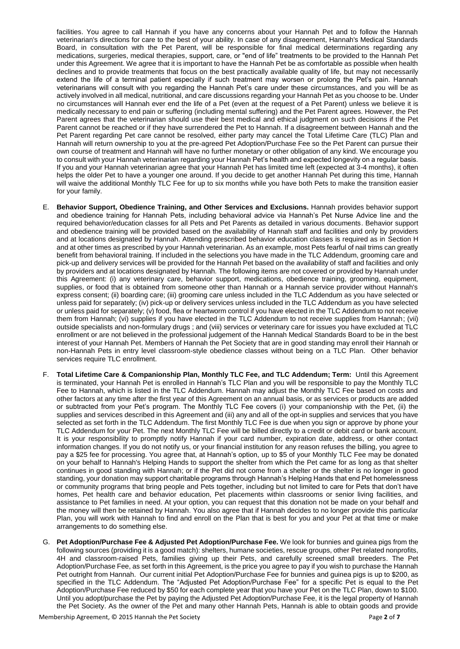facilities. You agree to call Hannah if you have any concerns about your Hannah Pet and to follow the Hannah veterinarian's directions for care to the best of your ability. In case of any disagreement, Hannah's Medical Standards Board, in consultation with the Pet Parent, will be responsible for final medical determinations regarding any medications, surgeries, medical therapies, support, care, or "end of life" treatments to be provided to the Hannah Pet under this Agreement. We agree that it is important to have the Hannah Pet be as comfortable as possible when health declines and to provide treatments that focus on the best practically available quality of life, but may not necessarily extend the life of a terminal patient especially if such treatment may worsen or prolong the Pet's pain. Hannah veterinarians will consult with you regarding the Hannah Pet's care under these circumstances, and you will be as actively involved in all medical, nutritional, and care discussions regarding your Hannah Pet as you choose to be. Under no circumstances will Hannah ever end the life of a Pet (even at the request of a Pet Parent) unless we believe it is medically necessary to end pain or suffering (including mental suffering) and the Pet Parent agrees. However, the Pet Parent agrees that the veterinarian should use their best medical and ethical judgment on such decisions if the Pet Parent cannot be reached or if they have surrendered the Pet to Hannah. If a disagreement between Hannah and the Pet Parent regarding Pet care cannot be resolved, either party may cancel the Total Lifetime Care (TLC) Plan and Hannah will return ownership to you at the pre-agreed Pet Adoption/Purchase Fee so the Pet Parent can pursue their own course of treatment and Hannah will have no further monetary or other obligation of any kind. We encourage you to consult with your Hannah veterinarian regarding your Hannah Pet's health and expected longevity on a regular basis. If you and your Hannah veterinarian agree that your Hannah Pet has limited time left (expected at 3-4 months), it often helps the older Pet to have a younger one around. If you decide to get another Hannah Pet during this time, Hannah will waive the additional Monthly TLC Fee for up to six months while you have both Pets to make the transition easier for your family.

- E. **Behavior Support, Obedience Training, and Other Services and Exclusions.** Hannah provides behavior support and obedience training for Hannah Pets, including behavioral advice via Hannah's Pet Nurse Advice line and the required behavior/education classes for all Pets and Pet Parents as detailed in various documents. Behavior support and obedience training will be provided based on the availability of Hannah staff and facilities and only by providers and at locations designated by Hannah. Attending prescribed behavior education classes is required as in Section H and at other times as prescribed by your Hannah veterinarian. As an example, most Pets fearful of nail trims can greatly benefit from behavioral training. If included in the selections you have made in the TLC Addendum, grooming care and pick-up and delivery services will be provided for the Hannah Pet based on the availability of staff and facilities and only by providers and at locations designated by Hannah. The following items are not covered or provided by Hannah under this Agreement: (i) any veterinary care, behavior support, medications, obedience training, grooming, equipment, supplies, or food that is obtained from someone other than Hannah or a Hannah service provider without Hannah's express consent; (ii) boarding care; (iii) grooming care unless included in the TLC Addendum as you have selected or unless paid for separately; (iv) pick-up or delivery services unless included in the TLC Addendum as you have selected or unless paid for separately; (v) food, flea or heartworm control if you have elected in the TLC Addendum to not receive them from Hannah; (vi) supplies if you have elected in the TLC Addendum to not receive supplies from Hannah; (vii) outside specialists and non-formulary drugs ; and (viii) services or veterinary care for issues you have excluded at TLC enrollment or are not believed in the professional judgement of the Hannah Medical Standards Board to be in the best interest of your Hannah Pet. Members of Hannah the Pet Society that are in good standing may enroll their Hannah or non-Hannah Pets in entry level classroom-style obedience classes without being on a TLC Plan. Other behavior services require TLC enrollment.
- F. **Total Lifetime Care & Companionship Plan, Monthly TLC Fee, and TLC Addendum; Term:** Until this Agreement is terminated, your Hannah Pet is enrolled in Hannah's TLC Plan and you will be responsible to pay the Monthly TLC Fee to Hannah, which is listed in the TLC Addendum. Hannah may adjust the Monthly TLC Fee based on costs and other factors at any time after the first year of this Agreement on an annual basis, or as services or products are added or subtracted from your Pet's program. The Monthly TLC Fee covers (i) your companionship with the Pet, (ii) the supplies and services described in this Agreement and (iii) any and all of the opt-in supplies and services that you have selected as set forth in the TLC Addendum. The first Monthly TLC Fee is due when you sign or approve by phone your TLC Addendum for your Pet. The next Monthly TLC Fee will be billed directly to a credit or debit card or bank account. It is your responsibility to promptly notify Hannah if your card number, expiration date, address, or other contact information changes. If you do not notify us, or your financial institution for any reason refuses the billing, you agree to pay a \$25 fee for processing. You agree that, at Hannah's option, up to \$5 of your Monthly TLC Fee may be donated on your behalf to Hannah's Helping Hands to support the shelter from which the Pet came for as long as that shelter continues in good standing with Hannah; or if the Pet did not come from a shelter or the shelter is no longer in good standing, your donation may support charitable programs through Hannah's Helping Hands that end Pet homelessness or community programs that bring people and Pets together, including but not limited to care for Pets that don't have homes, Pet health care and behavior education, Pet placements within classrooms or senior living facilities, and assistance to Pet families in need. At your option, you can request that this donation not be made on your behalf and the money will then be retained by Hannah. You also agree that if Hannah decides to no longer provide this particular Plan, you will work with Hannah to find and enroll on the Plan that is best for you and your Pet at that time or make arrangements to do something else.
- G. **Pet Adoption/Purchase Fee & Adjusted Pet Adoption/Purchase Fee.** We look for bunnies and guinea pigs from the following sources (providing it is a good match): shelters, humane societies, rescue groups, other Pet related nonprofits, 4H and classroom-raised Pets, families giving up their Pets, and carefully screened small breeders. The Pet Adoption/Purchase Fee, as set forth in this Agreement, is the price you agree to pay if you wish to purchase the Hannah Pet outright from Hannah. Our current initial Pet Adoption/Purchase Fee for bunnies and guinea pigs is up to \$200, as specified in the TLC Addendum. The "Adjusted Pet Adoption/Purchase Fee" for a specific Pet is equal to the Pet Adoption/Purchase Fee reduced by \$50 for each complete year that you have your Pet on the TLC Plan, down to \$100. Until you adopt/purchase the Pet by paying the Adjusted Pet Adoption/Purchase Fee, it is the legal property of Hannah the Pet Society. As the owner of the Pet and many other Hannah Pets, Hannah is able to obtain goods and provide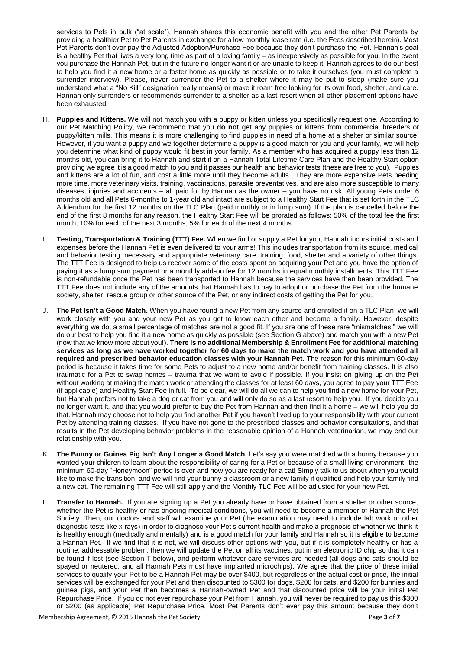services to Pets in bulk ("at scale"). Hannah shares this economic benefit with you and the other Pet Parents by providing a healthier Pet to Pet Parents in exchange for a low monthly lease rate (i.e. the Fees described herein). Most Pet Parents don't ever pay the Adjusted Adoption/Purchase Fee because they don't purchase the Pet. Hannah's goal is a healthy Pet that lives a very long time as part of a loving family – as inexpensively as possible for you. In the event you purchase the Hannah Pet, but in the future no longer want it or are unable to keep it, Hannah agrees to do our best to help you find it a new home or a foster home as quickly as possible or to take it ourselves (you must complete a surrender interview). Please, never surrender the Pet to a shelter where it may be put to sleep (make sure you understand what a "No Kill" designation really means) or make it roam free looking for its own food, shelter, and care. Hannah only surrenders or recommends surrender to a shelter as a last resort when all other placement options have been exhausted.

- H. **Puppies and Kittens.** We will not match you with a puppy or kitten unless you specifically request one. According to our Pet Matching Policy, we recommend that you **do not** get any puppies or kittens from commercial breeders or puppy/kitten mills. This means it is more challenging to find puppies in need of a home at a shelter or similar source. However, if you want a puppy and we together determine a puppy is a good match for you and your family, we will help you determine what kind of puppy would fit best in your family. As a member who has acquired a puppy less than 12 months old, you can bring it to Hannah and start it on a Hannah Total Lifetime Care Plan and the Healthy Start option providing we agree it is a good match to you and it passes our health and behavior tests (these are free to you). Puppies and kittens are a lot of fun, and cost a little more until they become adults. They are more expensive Pets needing more time, more veterinary visits, training, vaccinations, parasite preventatives, and are also more susceptible to many diseases, injuries and accidents – all paid for by Hannah as the owner – you have no risk. All young Pets under 6 months old and all Pets 6-months to 1-year old and intact are subject to a Healthy Start Fee that is set forth in the TLC Addendum for the first 12 months on the TLC Plan (paid monthly or in lump sum). If the plan is cancelled before the end of the first 8 months for any reason, the Healthy Start Fee will be prorated as follows: 50% of the total fee the first month, 10% for each of the next 3 months, 5% for each of the next 4 months.
- I. **Testing, Transportation & Training (TTT) Fee.** When we find or supply a Pet for you, Hannah incurs initial costs and expenses before the Hannah Pet is even delivered to your arms! This includes transportation from its source, medical and behavior testing, necessary and appropriate veterinary care, training, food, shelter and a variety of other things. The TTT Fee is designed to help us recover some of the costs spent on acquiring your Pet and you have the option of paying it as a lump sum payment or a monthly add-on fee for 12 months in equal monthly installments. This TTT Fee is non-refundable once the Pet has been transported to Hannah because the services have then been provided. The TTT Fee does not include any of the amounts that Hannah has to pay to adopt or purchase the Pet from the humane society, shelter, rescue group or other source of the Pet, or any indirect costs of getting the Pet for you.
- J. **The Pet Isn't a Good Match.** When you have found a new Pet from any source and enrolled it on a TLC Plan, we will work closely with you and your new Pet as you get to know each other and become a family. However, despite everything we do, a small percentage of matches are not a good fit. If you are one of these rare "mismatches," we will do our best to help you find it a new home as quickly as possible (see Section G above) and match you with a new Pet (now that we know more about you!). **There is no additional Membership & Enrollment Fee for additional matching services as long as we have worked together for 60 days to make the match work and you have attended all required and prescribed behavior education classes with your Hannah Pet.** The reason for this minimum 60-day period is because it takes time for some Pets to adjust to a new home and/or benefit from training classes. It is also traumatic for a Pet to swap homes – trauma that we want to avoid if possible. If you insist on giving up on the Pet without working at making the match work or attending the classes for at least 60 days, you agree to pay your TTT Fee (if applicable) and Healthy Start Fee in full. To be clear, we will do all we can to help you find a new home for your Pet, but Hannah prefers not to take a dog or cat from you and will only do so as a last resort to help you. If you decide you no longer want it, and that you would prefer to buy the Pet from Hannah and then find it a home – we will help you do that. Hannah may choose not to help you find another Pet if you haven't lived up to your responsibility with your current Pet by attending training classes. If you have not gone to the prescribed classes and behavior consultations, and that results in the Pet developing behavior problems in the reasonable opinion of a Hannah veterinarian, we may end our relationship with you.
- K. **The Bunny or Guinea Pig Isn't Any Longer a Good Match.** Let's say you were matched with a bunny because you wanted your children to learn about the responsibility of caring for a Pet or because of a small living environment, the minimum 60-day "Honeymoon" period is over and now you are ready for a cat! Simply talk to us about when you would like to make the transition, and we will find your bunny a classroom or a new family if qualified and help your family find a new cat. The remaining TTT Fee will still apply and the Monthly TLC Fee will be adjusted for your new Pet.
- L. **Transfer to Hannah.** If you are signing up a Pet you already have or have obtained from a shelter or other source, whether the Pet is healthy or has ongoing medical conditions, you will need to become a member of Hannah the Pet Society. Then, our doctors and staff will examine your Pet (the examination may need to include lab work or other diagnostic tests like x-rays) in order to diagnose your Pet's current health and make a prognosis of whether we think it is healthy enough (medically and mentally) and is a good match for your family and Hannah so it is eligible to become a Hannah Pet. If we find that it is not, we will discuss other options with you, but if it is completely healthy or has a routine, addressable problem, then we will update the Pet on all its vaccines, put in an electronic ID chip so that it can be found if lost (see Section T below), and perform whatever care services are needed (all dogs and cats should be spayed or neutered, and all Hannah Pets must have implanted microchips). We agree that the price of these initial services to qualify your Pet to be a Hannah Pet may be over \$400, but regardless of the actual cost or price, the initial services will be exchanged for your Pet and then discounted to \$300 for dogs, \$200 for cats, and \$200 for bunnies and guinea pigs, and your Pet then becomes a Hannah-owned Pet and that discounted price will be your initial Pet Repurchase Price. If you do not ever repurchase your Pet from Hannah, you will never be required to pay us this \$300 or \$200 (as applicable) Pet Repurchase Price. Most Pet Parents don't ever pay this amount because they don't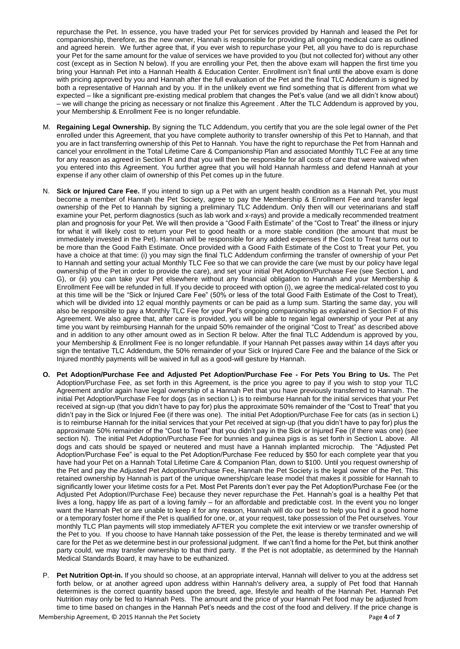repurchase the Pet. In essence, you have traded your Pet for services provided by Hannah and leased the Pet for companionship, therefore, as the new owner, Hannah is responsible for providing all ongoing medical care as outlined and agreed herein. We further agree that, if you ever wish to repurchase your Pet, all you have to do is repurchase your Pet for the same amount for the value of services we have provided to you (but not collected for) without any other cost (except as in Section N below). If you are enrolling your Pet, then the above exam will happen the first time you bring your Hannah Pet into a Hannah Health & Education Center. Enrollment isn't final until the above exam is done with pricing approved by you and Hannah after the full evaluation of the Pet and the final TLC Addendum is signed by both a representative of Hannah and by you. If in the unlikely event we find something that is different from what we expected – like a significant pre-existing medical problem that changes the Pet's value (and we all didn't know about) – we will change the pricing as necessary or not finalize this Agreement . After the TLC Addendum is approved by you, your Membership & Enrollment Fee is no longer refundable.

- M. **Regaining Legal Ownership.** By signing the TLC Addendum, you certify that you are the sole legal owner of the Pet enrolled under this Agreement, that you have complete authority to transfer ownership of this Pet to Hannah, and that you are in fact transferring ownership of this Pet to Hannah. You have the right to repurchase the Pet from Hannah and cancel your enrollment in the Total Lifetime Care & Companionship Plan and associated Monthly TLC Fee at any time for any reason as agreed in Section R and that you will then be responsible for all costs of care that were waived when you entered into this Agreement. You further agree that you will hold Hannah harmless and defend Hannah at your expense if any other claim of ownership of this Pet comes up in the future.
- N. **Sick or Injured Care Fee.** If you intend to sign up a Pet with an urgent health condition as a Hannah Pet, you must become a member of Hannah the Pet Society, agree to pay the Membership & Enrollment Fee and transfer legal ownership of the Pet to Hannah by signing a preliminary TLC Addendum. Only then will our veterinarians and staff examine your Pet, perform diagnostics (such as lab work and x-rays) and provide a medically recommended treatment plan and prognosis for your Pet. We will then provide a "Good Faith Estimate" of the "Cost to Treat" the illness or injury for what it will likely cost to return your Pet to good health or a more stable condition (the amount that must be immediately invested in the Pet). Hannah will be responsible for any added expenses if the Cost to Treat turns out to be more than the Good Faith Estimate. Once provided with a Good Faith Estimate of the Cost to Treat your Pet, you have a choice at that time: (i) you may sign the final TLC Addendum confirming the transfer of ownership of your Pet to Hannah and setting your actual Monthly TLC Fee so that we can provide the care (we must by our policy have legal ownership of the Pet in order to provide the care), and set your initial Pet Adoption/Purchase Fee (see Section L and G), or (ii) you can take your Pet elsewhere without any financial obligation to Hannah and your Membership & Enrollment Fee will be refunded in full. If you decide to proceed with option (i), we agree the medical-related cost to you at this time will be the "Sick or Injured Care Fee" (50% or less of the total Good Faith Estimate of the Cost to Treat), which will be divided into 12 equal monthly payments or can be paid as a lump sum. Starting the same day, you will also be responsible to pay a Monthly TLC Fee for your Pet's ongoing companionship as explained in Section F of this Agreement. We also agree that, after care is provided, you will be able to regain legal ownership of your Pet at any time you want by reimbursing Hannah for the unpaid 50% remainder of the original "Cost to Treat" as described above and in addition to any other amount owed as in Section R below. After the final TLC Addendum is approved by you, your Membership & Enrollment Fee is no longer refundable. If your Hannah Pet passes away within 14 days after you sign the tentative TLC Addendum, the 50% remainder of your Sick or Injured Care Fee and the balance of the Sick or Injured monthly payments will be waived in full as a good-will gesture by Hannah.
- **O. Pet Adoption/Purchase Fee and Adjusted Pet Adoption/Purchase Fee - For Pets You Bring to Us.** The Pet Adoption/Purchase Fee, as set forth in this Agreement, is the price you agree to pay if you wish to stop your TLC Agreement and/or again have legal ownership of a Hannah Pet that you have previously transferred to Hannah. The initial Pet Adoption/Purchase Fee for dogs (as in section L) is to reimburse Hannah for the initial services that your Pet received at sign-up (that you didn't have to pay for) plus the approximate 50% remainder of the "Cost to Treat" that you didn't pay in the Sick or Injured Fee (if there was one). The initial Pet Adoption/Purchase Fee for cats (as in section L) is to reimburse Hannah for the initial services that your Pet received at sign-up (that you didn't have to pay for) plus the approximate 50% remainder of the "Cost to Treat" that you didn't pay in the Sick or Injured Fee (if there was one) (see section N). The initial Pet Adoption/Purchase Fee for bunnies and guinea pigs is as set forth in Section L above. All dogs and cats should be spayed or neutered and must have a Hannah implanted microchip. The "Adjusted Pet Adoption/Purchase Fee" is equal to the Pet Adoption/Purchase Fee reduced by \$50 for each complete year that you have had your Pet on a Hannah Total Lifetime Care & Companion Plan, down to \$100. Until you request ownership of the Pet and pay the Adjusted Pet Adoption/Purchase Fee, Hannah the Pet Society is the legal owner of the Pet. This retained ownership by Hannah is part of the unique ownership/care lease model that makes it possible for Hannah to significantly lower your lifetime costs for a Pet. Most Pet Parents don't ever pay the Pet Adoption/Purchase Fee (or the Adjusted Pet Adoption//Purchase Fee) because they never repurchase the Pet. Hannah's goal is a healthy Pet that lives a long, happy life as part of a loving family – for an affordable and predictable cost. In the event you no longer want the Hannah Pet or are unable to keep it for any reason, Hannah will do our best to help you find it a good home or a temporary foster home if the Pet is qualified for one, or, at your request, take possession of the Pet ourselves. Your monthly TLC Plan payments will stop immediately AFTER you complete the exit interview or we transfer ownership of the Pet to you. If you choose to have Hannah take possession of the Pet, the lease is thereby terminated and we will care for the Pet as we determine best in our professional judgment. If we can't find a home for the Pet, but think another party could, we may transfer ownership to that third party. If the Pet is not adoptable, as determined by the Hannah Medical Standards Board, it may have to be euthanized.
- P. **Pet Nutrition Opt-in.** If you should so choose, at an appropriate interval, Hannah will deliver to you at the address set forth below, or at another agreed upon address within Hannah's delivery area, a supply of Pet food that Hannah determines is the correct quantity based upon the breed, age, lifestyle and health of the Hannah Pet. Hannah Pet Nutrition may only be fed to Hannah Pets. The amount and the price of your Hannah Pet food may be adjusted from time to time based on changes in the Hannah Pet's needs and the cost of the food and delivery. If the price change is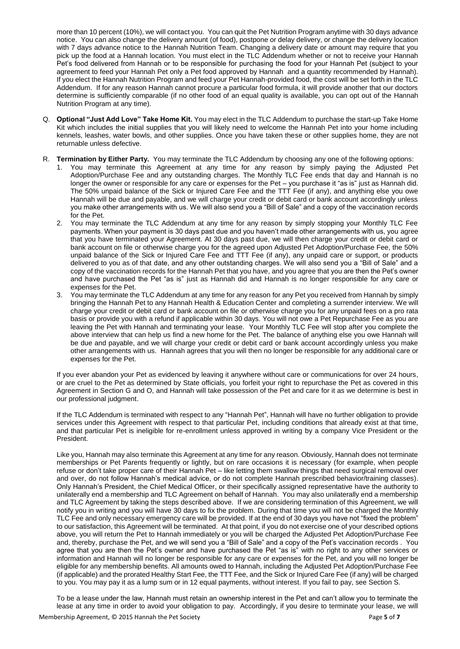more than 10 percent (10%), we will contact you. You can quit the Pet Nutrition Program anytime with 30 days advance notice. You can also change the delivery amount (of food), postpone or delay delivery, or change the delivery location with 7 days advance notice to the Hannah Nutrition Team. Changing a delivery date or amount may require that you pick up the food at a Hannah location. You must elect in the TLC Addendum whether or not to receive your Hannah Pet's food delivered from Hannah or to be responsible for purchasing the food for your Hannah Pet (subject to your agreement to feed your Hannah Pet only a Pet food approved by Hannah and a quantity recommended by Hannah). If you elect the Hannah Nutrition Program and feed your Pet Hannah-provided food, the cost will be set forth in the TLC Addendum. If for any reason Hannah cannot procure a particular food formula, it will provide another that our doctors determine is sufficiently comparable (if no other food of an equal quality is available, you can opt out of the Hannah Nutrition Program at any time).

- Q. **Optional "Just Add Love" Take Home Kit.** You may elect in the TLC Addendum to purchase the start-up Take Home Kit which includes the initial supplies that you will likely need to welcome the Hannah Pet into your home including kennels, leashes, water bowls, and other supplies. Once you have taken these or other supplies home, they are not returnable unless defective.
- R. **Termination by Either Party.** You may terminate the TLC Addendum by choosing any one of the following options:
	- 1. You may terminate this Agreement at any time for any reason by simply paying the Adjusted Pet Adoption/Purchase Fee and any outstanding charges. The Monthly TLC Fee ends that day and Hannah is no longer the owner or responsible for any care or expenses for the Pet – you purchase it "as is" just as Hannah did. The 50% unpaid balance of the Sick or Injured Care Fee and the TTT Fee (if any), and anything else you owe Hannah will be due and payable, and we will charge your credit or debit card or bank account accordingly unless you make other arrangements with us. We will also send you a "Bill of Sale" and a copy of the vaccination records for the Pet.
	- 2. You may terminate the TLC Addendum at any time for any reason by simply stopping your Monthly TLC Fee payments. When your payment is 30 days past due and you haven't made other arrangements with us, you agree that you have terminated your Agreement. At 30 days past due, we will then charge your credit or debit card or bank account on file or otherwise charge you for the agreed upon Adjusted Pet Adoption/Purchase Fee, the 50% unpaid balance of the Sick or Injured Care Fee and TTT Fee (if any), any unpaid care or support, or products delivered to you as of that date, and any other outstanding charges. We will also send you a "Bill of Sale" and a copy of the vaccination records for the Hannah Pet that you have, and you agree that you are then the Pet's owner and have purchased the Pet "as is" just as Hannah did and Hannah is no longer responsible for any care or expenses for the Pet.
	- 3. You may terminate the TLC Addendum at any time for any reason for any Pet you received from Hannah by simply bringing the Hannah Pet to any Hannah Health & Education Center and completing a surrender interview. We will charge your credit or debit card or bank account on file or otherwise charge you for any unpaid fees on a pro rata basis or provide you with a refund if applicable within 30 days. You will not owe a Pet Repurchase Fee as you are leaving the Pet with Hannah and terminating your lease. Your Monthly TLC Fee will stop after you complete the above interview that can help us find a new home for the Pet. The balance of anything else you owe Hannah will be due and payable, and we will charge your credit or debit card or bank account accordingly unless you make other arrangements with us. Hannah agrees that you will then no longer be responsible for any additional care or expenses for the Pet.

If you ever abandon your Pet as evidenced by leaving it anywhere without care or communications for over 24 hours, or are cruel to the Pet as determined by State officials, you forfeit your right to repurchase the Pet as covered in this Agreement in Section G and O, and Hannah will take possession of the Pet and care for it as we determine is best in our professional judgment.

If the TLC Addendum is terminated with respect to any "Hannah Pet", Hannah will have no further obligation to provide services under this Agreement with respect to that particular Pet, including conditions that already exist at that time, and that particular Pet is ineligible for re-enrollment unless approved in writing by a company Vice President or the President.

Like you, Hannah may also terminate this Agreement at any time for any reason. Obviously, Hannah does not terminate memberships or Pet Parents frequently or lightly, but on rare occasions it is necessary (for example, when people refuse or don't take proper care of their Hannah Pet – like letting them swallow things that need surgical removal over and over, do not follow Hannah's medical advice, or do not complete Hannah prescribed behavior/training classes). Only Hannah's President, the Chief Medical Officer, or their specifically assigned representative have the authority to unilaterally end a membership and TLC Agreement on behalf of Hannah. You may also unilaterally end a membership and TLC Agreement by taking the steps described above. If we are considering termination of this Agreement, we will notify you in writing and you will have 30 days to fix the problem. During that time you will not be charged the Monthly TLC Fee and only necessary emergency care will be provided. If at the end of 30 days you have not "fixed the problem" to our satisfaction, this Agreement will be terminated. At that point, if you do not exercise one of your described options above, you will return the Pet to Hannah immediately or you will be charged the Adjusted Pet Adoption/Purchase Fee and, thereby, purchase the Pet, and we will send you a "Bill of Sale" and a copy of the Pet's vaccination records . You agree that you are then the Pet's owner and have purchased the Pet "as is" with no right to any other services or information and Hannah will no longer be responsible for any care or expenses for the Pet, and you will no longer be eligible for any membership benefits. All amounts owed to Hannah, including the Adjusted Pet Adoption/Purchase Fee (if applicable) and the prorated Healthy Start Fee, the TTT Fee, and the Sick or Injured Care Fee (if any) will be charged to you. You may pay it as a lump sum or in 12 equal payments, without interest. If you fail to pay, see Section S.

To be a lease under the law, Hannah must retain an ownership interest in the Pet and can't allow you to terminate the lease at any time in order to avoid your obligation to pay. Accordingly, if you desire to terminate your lease, we will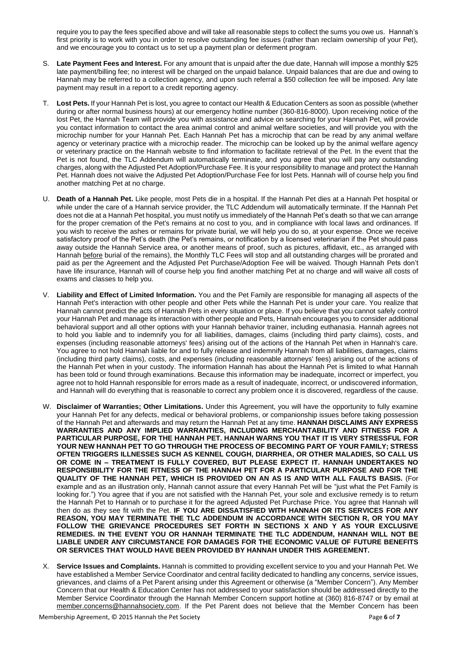require you to pay the fees specified above and will take all reasonable steps to collect the sums you owe us. Hannah's first priority is to work with you in order to resolve outstanding fee issues (rather than reclaim ownership of your Pet), and we encourage you to contact us to set up a payment plan or deferment program.

- S. **Late Payment Fees and Interest.** For any amount that is unpaid after the due date, Hannah will impose a monthly \$25 late payment/billing fee; no interest will be charged on the unpaid balance. Unpaid balances that are due and owing to Hannah may be referred to a collection agency, and upon such referral a \$50 collection fee will be imposed. Any late payment may result in a report to a credit reporting agency.
- T. **Lost Pets.** If your Hannah Pet is lost, you agree to contact our Health & Education Centers as soon as possible (whether during or after normal business hours) at our emergency hotline number (360-816-8000). Upon receiving notice of the lost Pet, the Hannah Team will provide you with assistance and advice on searching for your Hannah Pet, will provide you contact information to contact the area animal control and animal welfare societies, and will provide you with the microchip number for your Hannah Pet. Each Hannah Pet has a microchip that can be read by any animal welfare agency or veterinary practice with a microchip reader. The microchip can be looked up by the animal welfare agency or veterinary practice on the Hannah website to find information to facilitate retrieval of the Pet. In the event that the Pet is not found, the TLC Addendum will automatically terminate, and you agree that you will pay any outstanding charges, along with the Adjusted Pet Adoption/Purchase Fee. It is your responsibility to manage and protect the Hannah Pet. Hannah does not waive the Adjusted Pet Adoption/Purchase Fee for lost Pets. Hannah will of course help you find another matching Pet at no charge.
- U. **Death of a Hannah Pet.** Like people, most Pets die in a hospital. If the Hannah Pet dies at a Hannah Pet hospital or while under the care of a Hannah service provider, the TLC Addendum will automatically terminate. If the Hannah Pet does not die at a Hannah Pet hospital, you must notify us immediately of the Hannah Pet's death so that we can arrange for the proper cremation of the Pet's remains at no cost to you, and in compliance with local laws and ordinances. If you wish to receive the ashes or remains for private burial, we will help you do so, at your expense. Once we receive satisfactory proof of the Pet's death (the Pet's remains, or notification by a licensed veterinarian if the Pet should pass away outside the Hannah Service area, or another means of proof, such as pictures, affidavit, etc., as arranged with Hannah before burial of the remains), the Monthly TLC Fees will stop and all outstanding charges will be prorated and paid as per the Agreement and the Adjusted Pet Purchase/Adoption Fee will be waived. Though Hannah Pets don't have life insurance, Hannah will of course help you find another matching Pet at no charge and will waive all costs of exams and classes to help you.
- V. **Liability and Effect of Limited Information.** You and the Pet Family are responsible for managing all aspects of the Hannah Pet's interaction with other people and other Pets while the Hannah Pet is under your care. You realize that Hannah cannot predict the acts of Hannah Pets in every situation or place. If you believe that you cannot safely control your Hannah Pet and manage its interaction with other people and Pets, Hannah encourages you to consider additional behavioral support and all other options with your Hannah behavior trainer, including euthanasia. Hannah agrees not to hold you liable and to indemnify you for all liabilities, damages, claims (including third party claims), costs, and expenses (including reasonable attorneys' fees) arising out of the actions of the Hannah Pet when in Hannah's care. You agree to not hold Hannah liable for and to fully release and indemnify Hannah from all liabilities, damages, claims (including third party claims), costs, and expenses (including reasonable attorneys' fees) arising out of the actions of the Hannah Pet when in your custody. The information Hannah has about the Hannah Pet is limited to what Hannah has been told or found through examinations. Because this information may be inadequate, incorrect or imperfect, you agree not to hold Hannah responsible for errors made as a result of inadequate, incorrect, or undiscovered information, and Hannah will do everything that is reasonable to correct any problem once it is discovered, regardless of the cause.
- W. **Disclaimer of Warranties; Other Limitations.** Under this Agreement, you will have the opportunity to fully examine your Hannah Pet for any defects, medical or behavioral problems, or companionship issues before taking possession of the Hannah Pet and afterwards and may return the Hannah Pet at any time. **HANNAH DISCLAIMS ANY EXPRESS WARRANTIES AND ANY IMPLIED WARRANTIES, INCLUDING MERCHANTABILITY AND FITNESS FOR A PARTICULAR PURPOSE, FOR THE HANNAH PET. HANNAH WARNS YOU THAT IT IS VERY STRESSFUL FOR YOUR NEW HANNAH PET TO GO THROUGH THE PROCESS OF BECOMING PART OF YOUR FAMILY; STRESS OFTEN TRIGGERS ILLNESSES SUCH AS KENNEL COUGH, DIARRHEA, OR OTHER MALADIES, SO CALL US OR COME IN – TREATMENT IS FULLY COVERED, BUT PLEASE EXPECT IT. HANNAH UNDERTAKES NO RESPONSIBILITY FOR THE FITNESS OF THE HANNAH PET FOR A PARTICULAR PURPOSE AND FOR THE QUALITY OF THE HANNAH PET, WHICH IS PROVIDED ON AN AS IS AND WITH ALL FAULTS BASIS.** (For example and as an illustration only, Hannah cannot assure that every Hannah Pet will be "just what the Pet Family is looking for.") You agree that if you are not satisfied with the Hannah Pet, your sole and exclusive remedy is to return the Hannah Pet to Hannah or to purchase it for the agreed Adjusted Pet Purchase Price. You agree that Hannah will then do as they see fit with the Pet. **IF YOU ARE DISSATISFIED WITH HANNAH OR ITS SERVICES FOR ANY REASON, YOU MAY TERMINATE THE TLC ADDENDUM IN ACCORDANCE WITH SECTION R, OR YOU MAY FOLLOW THE GRIEVANCE PROCEDURES SET FORTH IN SECTIONS X AND Y AS YOUR EXCLUSIVE REMEDIES. IN THE EVENT YOU OR HANNAH TERMINATE THE TLC ADDENDUM, HANNAH WILL NOT BE LIABLE UNDER ANY CIRCUMSTANCE FOR DAMAGES FOR THE ECONOMIC VALUE OF FUTURE BENEFITS OR SERVICES THAT WOULD HAVE BEEN PROVIDED BY HANNAH UNDER THIS AGREEMENT.**
- X. **Service Issues and Complaints.** Hannah is committed to providing excellent service to you and your Hannah Pet. We have established a Member Service Coordinator and central facility dedicated to handling any concerns, service issues, grievances, and claims of a Pet Parent arising under this Agreement or otherwise (a "Member Concern"). Any Member Concern that our Health & Education Center has not addressed to your satisfaction should be addressed directly to the Member Service Coordinator through the Hannah Member Concern support hotline at (360) 816-8747 or by email at [member.concerns@hannahsociety.com.](mailto:member.concerns@hannahsociety.com) If the Pet Parent does not believe that the Member Concern has been